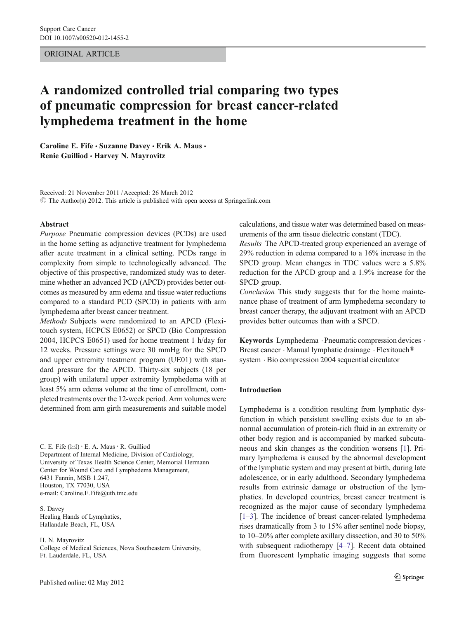# ORIGINAL ARTICLE

# A randomized controlled trial comparing two types of pneumatic compression for breast cancer-related lymphedema treatment in the home

Caroline E. Fife · Suzanne Davey · Erik A. Maus · Renie Guilliod · Harvey N. Mayrovitz

Received: 21 November 2011 /Accepted: 26 March 2012  $\odot$  The Author(s) 2012. This article is published with open access at Springerlink.com

#### Abstract

Purpose Pneumatic compression devices (PCDs) are used in the home setting as adjunctive treatment for lymphedema after acute treatment in a clinical setting. PCDs range in complexity from simple to technologically advanced. The objective of this prospective, randomized study was to determine whether an advanced PCD (APCD) provides better outcomes as measured by arm edema and tissue water reductions compared to a standard PCD (SPCD) in patients with arm lymphedema after breast cancer treatment.

Methods Subjects were randomized to an APCD (Flexitouch system, HCPCS E0652) or SPCD (Bio Compression 2004, HCPCS E0651) used for home treatment 1 h/day for 12 weeks. Pressure settings were 30 mmHg for the SPCD and upper extremity treatment program (UE01) with standard pressure for the APCD. Thirty-six subjects (18 per group) with unilateral upper extremity lymphedema with at least 5% arm edema volume at the time of enrollment, completed treatments over the 12-week period. Arm volumes were determined from arm girth measurements and suitable model

C. E. Fife  $(\boxtimes) \cdot$  E. A. Maus  $\cdot$  R. Guilliod Department of Internal Medicine, Division of Cardiology, University of Texas Health Science Center, Memorial Hermann Center for Wound Care and Lymphedema Management, 6431 Fannin, MSB 1.247, Houston, TX 77030, USA e-mail: Caroline.E.Fife@uth.tmc.edu

S. Davey Healing Hands of Lymphatics, Hallandale Beach, FL, USA

H. N. Mayrovitz College of Medical Sciences, Nova Southeastern University, Ft. Lauderdale, FL, USA

calculations, and tissue water was determined based on measurements of the arm tissue dielectric constant (TDC).

Results The APCD-treated group experienced an average of 29% reduction in edema compared to a 16% increase in the SPCD group. Mean changes in TDC values were a 5.8% reduction for the APCD group and a 1.9% increase for the SPCD group.

Conclusion This study suggests that for the home maintenance phase of treatment of arm lymphedema secondary to breast cancer therapy, the adjuvant treatment with an APCD provides better outcomes than with a SPCD.

Keywords Lymphedema . Pneumatic compression devices . Breast cancer . Manual lymphatic drainage . Flexitouch® system . Bio compression 2004 sequential circulator

## Introduction

Lymphedema is a condition resulting from lymphatic dysfunction in which persistent swelling exists due to an abnormal accumulation of protein-rich fluid in an extremity or other body region and is accompanied by marked subcutaneous and skin changes as the condition worsens [\[1](#page-6-0)]. Primary lymphedema is caused by the abnormal development of the lymphatic system and may present at birth, during late adolescence, or in early adulthood. Secondary lymphedema results from extrinsic damage or obstruction of the lymphatics. In developed countries, breast cancer treatment is recognized as the major cause of secondary lymphedema [\[1](#page-6-0)–[3](#page-6-0)]. The incidence of breast cancer-related lymphedema rises dramatically from 3 to 15% after sentinel node biopsy, to 10–20% after complete axillary dissection, and 30 to 50% with subsequent radiotherapy [\[4](#page-6-0)–[7](#page-6-0)]. Recent data obtained from fluorescent lymphatic imaging suggests that some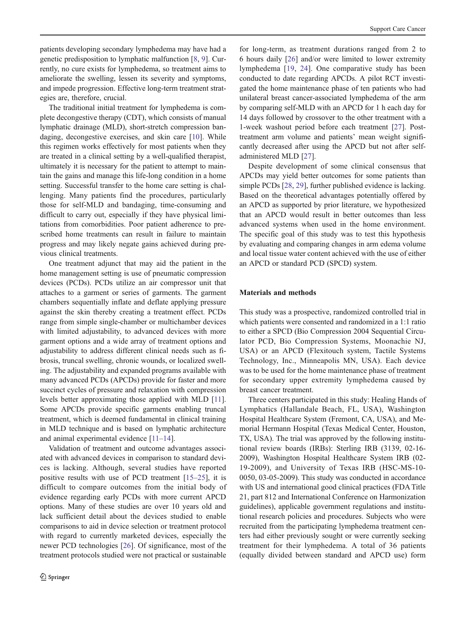patients developing secondary lymphedema may have had a genetic predisposition to lymphatic malfunction [\[8](#page-6-0), [9\]](#page-6-0). Currently, no cure exists for lymphedema, so treatment aims to ameliorate the swelling, lessen its severity and symptoms, and impede progression. Effective long-term treatment strategies are, therefore, crucial.

The traditional initial treatment for lymphedema is complete decongestive therapy (CDT), which consists of manual lymphatic drainage (MLD), short-stretch compression bandaging, decongestive exercises, and skin care [\[10](#page-6-0)]. While this regimen works effectively for most patients when they are treated in a clinical setting by a well-qualified therapist, ultimately it is necessary for the patient to attempt to maintain the gains and manage this life-long condition in a home setting. Successful transfer to the home care setting is challenging. Many patients find the procedures, particularly those for self-MLD and bandaging, time-consuming and difficult to carry out, especially if they have physical limitations from comorbidities. Poor patient adherence to prescribed home treatments can result in failure to maintain progress and may likely negate gains achieved during previous clinical treatments.

One treatment adjunct that may aid the patient in the home management setting is use of pneumatic compression devices (PCDs). PCDs utilize an air compressor unit that attaches to a garment or series of garments. The garment chambers sequentially inflate and deflate applying pressure against the skin thereby creating a treatment effect. PCDs range from simple single-chamber or multichamber devices with limited adjustability, to advanced devices with more garment options and a wide array of treatment options and adjustability to address different clinical needs such as fibrosis, truncal swelling, chronic wounds, or localized swelling. The adjustability and expanded programs available with many advanced PCDs (APCDs) provide for faster and more succinct cycles of pressure and relaxation with compression levels better approximating those applied with MLD [[11](#page-6-0)]. Some APCDs provide specific garments enabling truncal treatment, which is deemed fundamental in clinical training in MLD technique and is based on lymphatic architecture and animal experimental evidence [[11](#page-6-0)–[14\]](#page-6-0).

Validation of treatment and outcome advantages associated with advanced devices in comparison to standard devices is lacking. Although, several studies have reported positive results with use of PCD treatment [[15](#page-6-0)–[25\]](#page-7-0), it is difficult to compare outcomes from the initial body of evidence regarding early PCDs with more current APCD options. Many of these studies are over 10 years old and lack sufficient detail about the devices studied to enable comparisons to aid in device selection or treatment protocol with regard to currently marketed devices, especially the newer PCD technologies [\[26](#page-7-0)]. Of significance, most of the treatment protocols studied were not practical or sustainable

for long-term, as treatment durations ranged from 2 to 6 hours daily [[26\]](#page-7-0) and/or were limited to lower extremity lymphedema [\[19](#page-6-0), [24\]](#page-7-0). One comparative study has been conducted to date regarding APCDs. A pilot RCT investigated the home maintenance phase of ten patients who had unilateral breast cancer-associated lymphedema of the arm by comparing self-MLD with an APCD for 1 h each day for 14 days followed by crossover to the other treatment with a 1-week washout period before each treatment [[27\]](#page-7-0). Posttreatment arm volume and patients' mean weight significantly decreased after using the APCD but not after selfadministered MLD [\[27](#page-7-0)].

Despite development of some clinical consensus that APCDs may yield better outcomes for some patients than simple PCDs [[28](#page-7-0), [29](#page-7-0)], further published evidence is lacking. Based on the theoretical advantages potentially offered by an APCD as supported by prior literature, we hypothesized that an APCD would result in better outcomes than less advanced systems when used in the home environment. The specific goal of this study was to test this hypothesis by evaluating and comparing changes in arm edema volume and local tissue water content achieved with the use of either an APCD or standard PCD (SPCD) system.

#### Materials and methods

This study was a prospective, randomized controlled trial in which patients were consented and randomized in a 1:1 ratio to either a SPCD (Bio Compression 2004 Sequential Circulator PCD, Bio Compression Systems, Moonachie NJ, USA) or an APCD (Flexitouch system, Tactile Systems Technology, Inc., Minneapolis MN, USA). Each device was to be used for the home maintenance phase of treatment for secondary upper extremity lymphedema caused by breast cancer treatment.

Three centers participated in this study: Healing Hands of Lymphatics (Hallandale Beach, FL, USA), Washington Hospital Healthcare System (Fremont, CA, USA), and Memorial Hermann Hospital (Texas Medical Center, Houston, TX, USA). The trial was approved by the following institutional review boards (IRBs): Sterling IRB (3139, 02-16- 2009), Washington Hospital Healthcare System IRB (02- 19-2009), and University of Texas IRB (HSC-MS-10- 0050, 03-05-2009). This study was conducted in accordance with US and international good clinical practices (FDA Title 21, part 812 and International Conference on Harmonization guidelines), applicable government regulations and institutional research policies and procedures. Subjects who were recruited from the participating lymphedema treatment centers had either previously sought or were currently seeking treatment for their lymphedema. A total of 36 patients (equally divided between standard and APCD use) form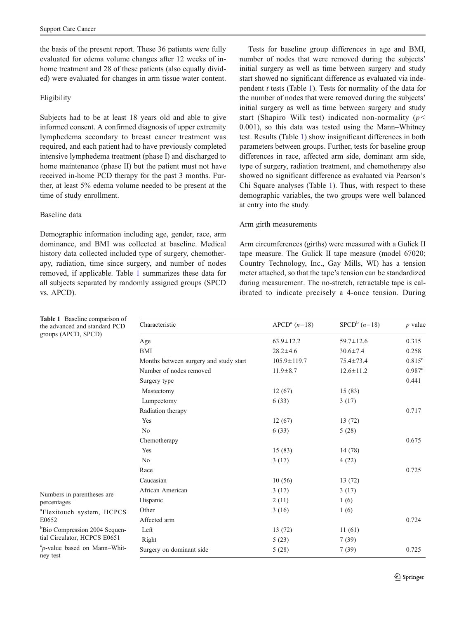the basis of the present report. These 36 patients were fully evaluated for edema volume changes after 12 weeks of inhome treatment and 28 of these patients (also equally divided) were evaluated for changes in arm tissue water content.

## Eligibility

Subjects had to be at least 18 years old and able to give informed consent. A confirmed diagnosis of upper extremity lymphedema secondary to breast cancer treatment was required, and each patient had to have previously completed intensive lymphedema treatment (phase I) and discharged to home maintenance (phase II) but the patient must not have received in-home PCD therapy for the past 3 months. Further, at least 5% edema volume needed to be present at the time of study enrollment.

## Baseline data

Demographic information including age, gender, race, arm dominance, and BMI was collected at baseline. Medical history data collected included type of surgery, chemotherapy, radiation, time since surgery, and number of nodes removed, if applicable. Table 1 summarizes these data for all subjects separated by randomly assigned groups (SPCD vs. APCD).

Tests for baseline group differences in age and BMI, number of nodes that were removed during the subjects' initial surgery as well as time between surgery and study start showed no significant difference as evaluated via independent  $t$  tests (Table 1). Tests for normality of the data for the number of nodes that were removed during the subjects' initial surgery as well as time between surgery and study start (Shapiro–Wilk test) indicated non-normality ( $p$ < 0.001), so this data was tested using the Mann–Whitney test. Results (Table 1) show insignificant differences in both parameters between groups. Further, tests for baseline group differences in race, affected arm side, dominant arm side, type of surgery, radiation treatment, and chemotherapy also showed no significant difference as evaluated via Pearson's Chi Square analyses (Table 1). Thus, with respect to these demographic variables, the two groups were well balanced at entry into the study.

## Arm girth measurements

Arm circumferences (girths) were measured with a Gulick II tape measure. The Gulick II tape measure (model 67020; Country Technology, Inc., Gay Mills, WI) has a tension meter attached, so that the tape's tension can be standardized during measurement. The no-stretch, retractable tape is calibrated to indicate precisely a 4-once tension. During

| <b>Table 1</b> Baseline comparison of<br>the advanced and standard PCD      | Characteristic                         | $APCDa$ (n=18)    | $SPCD^b$ (n=18) | $p$ value            |
|-----------------------------------------------------------------------------|----------------------------------------|-------------------|-----------------|----------------------|
| groups (APCD, SPCD)                                                         | Age                                    | $63.9 \pm 12.2$   | $59.7 \pm 12.6$ | 0.315                |
|                                                                             | <b>BMI</b>                             | $28.2 \pm 4.6$    | $30.6 \pm 7.4$  | 0.258                |
|                                                                             | Months between surgery and study start | $105.9 \pm 119.7$ | $75.4 \pm 73.4$ | $0.815^{\circ}$      |
|                                                                             | Number of nodes removed                | $11.9 \pm 8.7$    | $12.6 \pm 11.2$ | $0.987$ <sup>c</sup> |
|                                                                             | Surgery type                           |                   |                 | 0.441                |
|                                                                             | Mastectomy                             | 12(67)            | 15(83)          |                      |
|                                                                             | Lumpectomy                             | 6(33)             | 3(17)           |                      |
|                                                                             | Radiation therapy                      |                   |                 | 0.717                |
|                                                                             | Yes                                    | 12(67)            | 13(72)          |                      |
|                                                                             | N <sub>0</sub>                         | 6(33)             | 5(28)           |                      |
|                                                                             | Chemotherapy                           |                   |                 | 0.675                |
|                                                                             | Yes                                    | 15(83)            | 14 (78)         |                      |
|                                                                             | N <sub>0</sub>                         | 3(17)             | 4(22)           |                      |
|                                                                             | Race                                   |                   |                 | 0.725                |
|                                                                             | Caucasian                              | 10(56)            | 13(72)          |                      |
| Numbers in parentheses are<br>percentages                                   | African American                       | 3(17)             | 3(17)           |                      |
|                                                                             | Hispanic                               | 2(11)             | 1(6)            |                      |
| <sup>a</sup> Flexitouch system, HCPCS<br>E0652                              | Other                                  | 3(16)             | 1(6)            |                      |
|                                                                             | Affected arm                           |                   |                 | 0.724                |
| <sup>b</sup> Bio Compression 2004 Sequen-                                   | Left                                   | 13(72)            | 11(61)          |                      |
| tial Circulator, HCPCS E0651                                                | Right                                  | 5(23)             | 7(39)           |                      |
| ${}^c p$ -value based on Mann-Whit-<br>Surgery on dominant side<br>ney test |                                        | 5(28)             | 7(39)           | 0.725                |

Table 1 Baseline compar the advanced and standar groups (APCD, SPCD)

2 Springer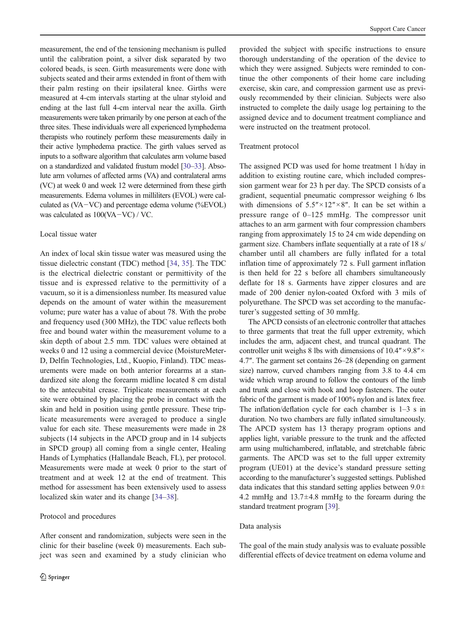measurement, the end of the tensioning mechanism is pulled until the calibration point, a silver disk separated by two colored beads, is seen. Girth measurements were done with subjects seated and their arms extended in front of them with their palm resting on their ipsilateral knee. Girths were measured at 4-cm intervals starting at the ulnar styloid and ending at the last full 4-cm interval near the axilla. Girth measurements were taken primarily by one person at each of the three sites. These individuals were all experienced lymphedema therapists who routinely perform these measurements daily in their active lymphedema practice. The girth values served as inputs to a software algorithm that calculates arm volume based on a standardized and validated frustum model [\[30](#page-7-0)–[33\]](#page-7-0). Absolute arm volumes of affected arms (VA) and contralateral arms (VC) at week 0 and week 12 were determined from these girth measurements. Edema volumes in milliliters (EVOL) were calculated as (VA−VC) and percentage edema volume (%EVOL) was calculated as 100(VA−VC) / VC.

#### Local tissue water

An index of local skin tissue water was measured using the tissue dielectric constant (TDC) method [[34,](#page-7-0) [35](#page-7-0)]. The TDC is the electrical dielectric constant or permittivity of the tissue and is expressed relative to the permittivity of a vacuum, so it is a dimensionless number. Its measured value depends on the amount of water within the measurement volume; pure water has a value of about 78. With the probe and frequency used (300 MHz), the TDC value reflects both free and bound water within the measurement volume to a skin depth of about 2.5 mm. TDC values were obtained at weeks 0 and 12 using a commercial device (MoistureMeter-D, Delfin Technologies, Ltd., Kuopio, Finland). TDC measurements were made on both anterior forearms at a standardized site along the forearm midline located 8 cm distal to the antecubital crease. Triplicate measurements at each site were obtained by placing the probe in contact with the skin and held in position using gentle pressure. These triplicate measurements were averaged to produce a single value for each site. These measurements were made in 28 subjects (14 subjects in the APCD group and in 14 subjects in SPCD group) all coming from a single center, Healing Hands of Lymphatics (Hallandale Beach, FL), per protocol. Measurements were made at week 0 prior to the start of treatment and at week 12 at the end of treatment. This method for assessment has been extensively used to assess localized skin water and its change [[34](#page-7-0)–[38\]](#page-7-0).

#### Protocol and procedures

After consent and randomization, subjects were seen in the clinic for their baseline (week 0) measurements. Each subject was seen and examined by a study clinician who provided the subject with specific instructions to ensure thorough understanding of the operation of the device to which they were assigned. Subjects were reminded to continue the other components of their home care including exercise, skin care, and compression garment use as previously recommended by their clinician. Subjects were also instructed to complete the daily usage log pertaining to the assigned device and to document treatment compliance and were instructed on the treatment protocol.

#### Treatment protocol

The assigned PCD was used for home treatment 1 h/day in addition to existing routine care, which included compression garment wear for 23 h per day. The SPCD consists of a gradient, sequential pneumatic compressor weighing 6 lbs with dimensions of  $5.5'' \times 12'' \times 8''$ . It can be set within a pressure range of 0–125 mmHg. The compressor unit attaches to an arm garment with four compression chambers ranging from approximately 15 to 24 cm wide depending on garment size. Chambers inflate sequentially at a rate of 18 s/ chamber until all chambers are fully inflated for a total inflation time of approximately 72 s. Full garment inflation is then held for 22 s before all chambers simultaneously deflate for 18 s. Garments have zipper closures and are made of 200 denier nylon-coated Oxford with 3 mils of polyurethane. The SPCD was set according to the manufacturer's suggested setting of 30 mmHg.

The APCD consists of an electronic controller that attaches to three garments that treat the full upper extremity, which includes the arm, adjacent chest, and truncal quadrant. The controller unit weighs 8 lbs with dimensions of 10.4″×9.8″× 4.7″. The garment set contains 26–28 (depending on garment size) narrow, curved chambers ranging from 3.8 to 4.4 cm wide which wrap around to follow the contours of the limb and trunk and close with hook and loop fasteners. The outer fabric of the garment is made of 100% nylon and is latex free. The inflation/deflation cycle for each chamber is 1–3 s in duration. No two chambers are fully inflated simultaneously. The APCD system has 13 therapy program options and applies light, variable pressure to the trunk and the affected arm using multichambered, inflatable, and stretchable fabric garments. The APCD was set to the full upper extremity program (UE01) at the device's standard pressure setting according to the manufacturer's suggested settings. Published data indicates that this standard setting applies between  $9.0\pm$ 4.2 mmHg and 13.7±4.8 mmHg to the forearm during the standard treatment program [\[39\]](#page-7-0).

#### Data analysis

The goal of the main study analysis was to evaluate possible differential effects of device treatment on edema volume and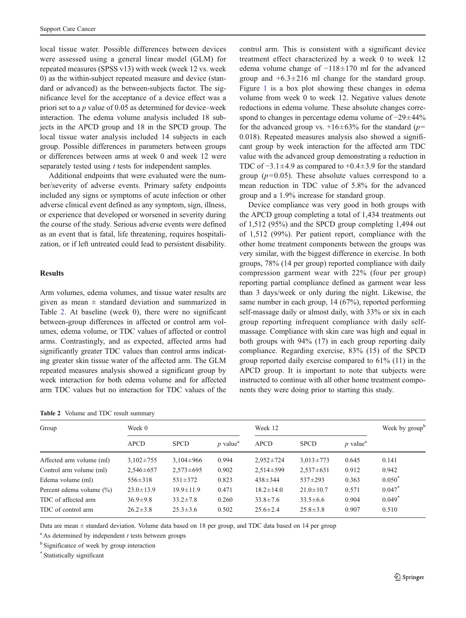local tissue water. Possible differences between devices were assessed using a general linear model (GLM) for repeated measures (SPSS v13) with week (week 12 vs. week 0) as the within-subject repeated measure and device (standard or advanced) as the between-subjects factor. The significance level for the acceptance of a device effect was a priori set to a p value of 0.05 as determined for device–week interaction. The edema volume analysis included 18 subjects in the APCD group and 18 in the SPCD group. The local tissue water analysis included 14 subjects in each group. Possible differences in parameters between groups or differences between arms at week 0 and week 12 were separately tested using *t* tests for independent samples.

Additional endpoints that were evaluated were the number/severity of adverse events. Primary safety endpoints included any signs or symptoms of acute infection or other adverse clinical event defined as any symptom, sign, illness, or experience that developed or worsened in severity during the course of the study. Serious adverse events were defined as an event that is fatal, life threatening, requires hospitalization, or if left untreated could lead to persistent disability.

## Results

Arm volumes, edema volumes, and tissue water results are given as mean  $\pm$  standard deviation and summarized in Table 2. At baseline (week 0), there were no significant between-group differences in affected or control arm volumes, edema volume, or TDC values of affected or control arms. Contrastingly, and as expected, affected arms had significantly greater TDC values than control arms indicating greater skin tissue water of the affected arm. The GLM repeated measures analysis showed a significant group by week interaction for both edema volume and for affected arm TDC values but no interaction for TDC values of the

|  |  |  |  |  | Table 2 Volume and TDC result summary |
|--|--|--|--|--|---------------------------------------|
|--|--|--|--|--|---------------------------------------|

control arm. This is consistent with a significant device treatment effect characterized by a week 0 to week 12 edema volume change of −118±170 ml for the advanced group and  $+6.3 \pm 216$  ml change for the standard group. Figure [1](#page-5-0) is a box plot showing these changes in edema volume from week 0 to week 12. Negative values denote reductions in edema volume. These absolute changes correspond to changes in percentage edema volume of −29±44% for the advanced group vs.  $+16\pm63\%$  for the standard (p= 0.018). Repeated measures analysis also showed a significant group by week interaction for the affected arm TDC value with the advanced group demonstrating a reduction in TDC of −3.1±4.9 as compared to +0.4±3.9 for the standard group ( $p=0.05$ ). These absolute values correspond to a mean reduction in TDC value of 5.8% for the advanced group and a 1.9% increase for standard group.

Device compliance was very good in both groups with the APCD group completing a total of 1,434 treatments out of 1,512 (95%) and the SPCD group completing 1,494 out of 1,512 (99%). Per patient report, compliance with the other home treatment components between the groups was very similar, with the biggest difference in exercise. In both groups, 78% (14 per group) reported compliance with daily compression garment wear with 22% (four per group) reporting partial compliance defined as garment wear less than 3 days/week or only during the night. Likewise, the same number in each group, 14 (67%), reported performing self-massage daily or almost daily, with 33% or six in each group reporting infrequent compliance with daily selfmassage. Compliance with skin care was high and equal in both groups with 94% (17) in each group reporting daily compliance. Regarding exercise, 83% (15) of the SPCD group reported daily exercise compared to 61% (11) in the APCD group. It is important to note that subjects were instructed to continue with all other home treatment components they were doing prior to starting this study.

| Group                       | Week 0          |                 |                        | Week 12         |                 |                        | Week by group <sup>b</sup> |
|-----------------------------|-----------------|-----------------|------------------------|-----------------|-----------------|------------------------|----------------------------|
|                             | <b>APCD</b>     | <b>SPCD</b>     | $p$ value <sup>a</sup> | <b>APCD</b>     | <b>SPCD</b>     | $p$ value <sup>a</sup> |                            |
| Affected arm volume (ml)    | $3,102 \pm 755$ | $3,104\pm966$   | 0.994                  | $2,952 \pm 724$ | $3,013 \pm 773$ | 0.645                  | 0.141                      |
| Control arm volume (ml)     | $2,546 \pm 657$ | $2,573\pm 695$  | 0.902                  | $2,514\pm 599$  | $2,537\pm 631$  | 0.912                  | 0.942                      |
| Edema volume (ml)           | $556 \pm 318$   | $531 \pm 372$   | 0.823                  | $438 \pm 344$   | $537 + 293$     | 0.363                  | $0.050^*$                  |
| Percent edema volume $(\%)$ | $23.0 \pm 13.9$ | $19.9 \pm 11.9$ | 0.471                  | $18.2 \pm 14.0$ | $21.0 \pm 10.7$ | 0.571                  | $0.047$ *                  |
| TDC of affected arm         | $36.9 \pm 9.8$  | $33.2 \pm 7.8$  | 0.260                  | $33.8 \pm 7.6$  | $33.5 \pm 6.6$  | 0.904                  | $0.049$ <sup>*</sup>       |
| TDC of control arm          | $26.2 \pm 3.8$  | $25.3 \pm 3.6$  | 0.502                  | $25.6 \pm 2.4$  | $25.8 \pm 3.8$  | 0.907                  | 0.510                      |

Data are mean  $\pm$  standard deviation. Volume data based on 18 per group, and TDC data based on 14 per group

 $a<sup>a</sup>$  As determined by independent t tests between groups

<sup>b</sup> Significance of week by group interaction

\* Statistically significant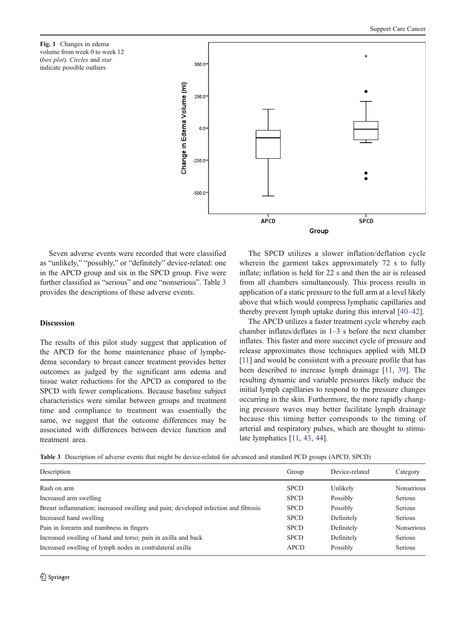<span id="page-5-0"></span>Fig. 1 Changes in edema volume from week 0 to week 12 (box plot). Circles and star indicate possible outliers



Seven adverse events were recorded that were classified as "unlikely," "possibly," or "definitely" device-related: one in the APCD group and six in the SPCD group. Five were further classified as "serious" and one "nonserious". Table 3 provides the descriptions of these adverse events.

## Discussion

The results of this pilot study suggest that application of the APCD for the home maintenance phase of lymphedema secondary to breast cancer treatment provides better outcomes as judged by the significant arm edema and tissue water reductions for the APCD as compared to the SPCD with fewer complications. Because baseline subject characteristics were similar between groups and treatment time and compliance to treatment was essentially the same, we suggest that the outcome differences may be associated with differences between device function and treatment area.

The SPCD utilizes a slower inflation/deflation cycle wherein the garment takes approximately 72 s to fully inflate; inflation is held for 22 s and then the air is released from all chambers simultaneously. This process results in application of a static pressure to the full arm at a level likely above that which would compress lymphatic capillaries and thereby prevent lymph uptake during this interval [[40](#page-7-0)–[42](#page-7-0)].

The APCD utilizes a faster treatment cycle whereby each chamber inflates/deflates in 1–3 s before the next chamber inflates. This faster and more succinct cycle of pressure and release approximates those techniques applied with MLD [\[11](#page-6-0)] and would be consistent with a pressure profile that has been described to increase lymph drainage [\[11,](#page-6-0) [39\]](#page-7-0). The resulting dynamic and variable pressures likely induce the initial lymph capillaries to respond to the pressure changes occurring in the skin. Furthermore, the more rapidly changing pressure waves may better facilitate lymph drainage because this timing better corresponds to the timing of arterial and respiratory pulses, which are thought to stimulate lymphatics [[11,](#page-6-0) [43,](#page-7-0) [44](#page-7-0)].

Table 3 Description of adverse events that might be device-related for advanced and standard PCD groups (APCD, SPCD)

| Description                                                                        | Group       | Device-related | Category          |
|------------------------------------------------------------------------------------|-------------|----------------|-------------------|
| Rash on arm                                                                        | <b>SPCD</b> | Unlikely       | <b>Nonserious</b> |
| Increased arm swelling                                                             | <b>SPCD</b> | Possibly       | <b>Serious</b>    |
| Breast inflammation; increased swelling and pain; developed infection and fibrosis | <b>SPCD</b> | Possibly       | <b>Serious</b>    |
| Increased hand swelling                                                            | <b>SPCD</b> | Definitely     | <b>Serious</b>    |
| Pain in forearm and numbness in fingers                                            | <b>SPCD</b> | Definitely     | <b>Nonserious</b> |
| Increased swelling of hand and torso; pain in axilla and back                      | <b>SPCD</b> | Definitely     | Serious           |
| Increased swelling of lymph nodes in contralateral axilla                          | <b>APCD</b> | Possibly       | Serious           |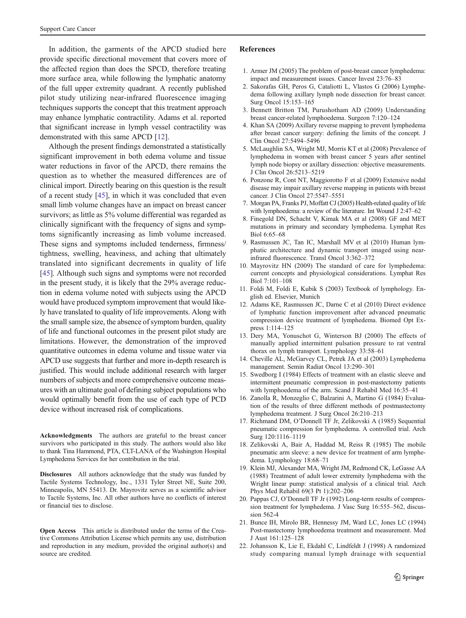<span id="page-6-0"></span>In addition, the garments of the APCD studied here provide specific directional movement that covers more of the affected region than does the SPCD, therefore treating more surface area, while following the lymphatic anatomy of the full upper extremity quadrant. A recently published pilot study utilizing near-infrared fluorescence imaging techniques supports the concept that this treatment approach may enhance lymphatic contractility. Adams et al. reported that significant increase in lymph vessel contractility was demonstrated with this same APCD [12].

Although the present findings demonstrated a statistically significant improvement in both edema volume and tissue water reductions in favor of the APCD, there remains the question as to whether the measured differences are of clinical import. Directly bearing on this question is the result of a recent study [[45\]](#page-7-0), in which it was concluded that even small limb volume changes have an impact on breast cancer survivors; as little as 5% volume differential was regarded as clinically significant with the frequency of signs and symptoms significantly increasing as limb volume increased. These signs and symptoms included tenderness, firmness/ tightness, swelling, heaviness, and aching that ultimately translated into significant decrements in quality of life [\[45](#page-7-0)]. Although such signs and symptoms were not recorded in the present study, it is likely that the 29% average reduction in edema volume noted with subjects using the APCD would have produced symptom improvement that would likely have translated to quality of life improvements. Along with the small sample size, the absence of symptom burden, quality of life and functional outcomes in the present pilot study are limitations. However, the demonstration of the improved quantitative outcomes in edema volume and tissue water via APCD use suggests that further and more in-depth research is justified. This would include additional research with larger numbers of subjects and more comprehensive outcome measures with an ultimate goal of defining subject populations who would optimally benefit from the use of each type of PCD device without increased risk of complications.

Acknowledgments The authors are grateful to the breast cancer survivors who participated in this study. The authors would also like to thank Tina Hammond, PTA, CLT-LANA of the Washington Hospital Lymphedema Services for her contribution in the trial.

Disclosures All authors acknowledge that the study was funded by Tactile Systems Technology, Inc., 1331 Tyler Street NE, Suite 200, Minneapolis, MN 55413. Dr. Mayrovitz serves as a scientific advisor to Tactile Systems, Inc. All other authors have no conflicts of interest or financial ties to disclose.

Open Access This article is distributed under the terms of the Creative Commons Attribution License which permits any use, distribution and reproduction in any medium, provided the original author(s) and source are credited.

#### References

- 1. Armer JM (2005) The problem of post-breast cancer lymphedema: impact and measurement issues. Cancer Invest 23:76–83
- 2. Sakorafas GH, Peros G, Cataliotti L, Vlastos G (2006) Lymphedema following axillary lymph node dissection for breast cancer. Surg Oncol 15:153–165
- 3. Bennett Britton TM, Purushotham AD (2009) Understanding breast cancer-related lymphoedema. Surgeon 7:120–124
- 4. Khan SA (2009) Axillary reverse mapping to prevent lymphedema after breast cancer surgery: defining the limits of the concept. J Clin Oncol 27:5494–5496
- 5. McLaughlin SA, Wright MJ, Morris KT et al (2008) Prevalence of lymphedema in women with breast cancer 5 years after sentinel lymph node biopsy or axillary dissection: objective measurements. J Clin Oncol 26:5213–5219
- 6. Ponzone R, Cont NT, Maggiorotto F et al (2009) Extensive nodal disease may impair axillary reverse mapping in patients with breast cancer. J Clin Oncol 27:5547–5551
- 7. Morgan PA, Franks PJ, Moffatt CJ (2005) Health-related quality of life with lymphoedema: a review of the literature. Int Wound J 2:47–62
- 8. Finegold DN, Schacht V, Kimak MA et al (2008) GF and MET mutations in primary and secondary lymphedema. Lymphat Res Biol 6:65–68
- 9. Rasmussen JC, Tan IC, Marshall MV et al (2010) Human lymphatic architecture and dynamic transport imaged using nearinfrared fluorescence. Transl Oncol 3:362–372
- 10. Mayrovitz HN (2009) The standard of care for lymphedema: current concepts and physiological considerations. Lymphat Res Biol 7:101–108
- 11. Foldi M, Foldi E, Kubik S (2003) Textbook of lymphology. English ed. Elsevier, Munich
- 12. Adams KE, Rasmussen JC, Darne C et al (2010) Direct evidence of lymphatic function improvement after advanced pneumatic compression device treatment of lymphedema. Biomed Opt Express 1:114–125
- 13. Dery MA, Yonuschot G, Winterson BJ (2000) The effects of manually applied intermittent pulsation pressure to rat ventral thorax on lymph transport. Lymphology 33:58–61
- 14. Cheville AL, McGarvey CL, Petrek JA et al (2003) Lymphedema management. Semin Radiat Oncol 13:290–301
- 15. Swedborg I (1984) Effects of treatment with an elastic sleeve and intermittent pneumatic compression in post-mastectomy patients with lymphoedema of the arm. Scand J Rehabil Med 16:35–41
- 16. Zanolla R, Monzeglio C, Balzarini A, Martino G (1984) Evaluation of the results of three different methods of postmastectomy lymphedema treatment. J Surg Oncol 26:210–213
- 17. Richmand DM, O'Donnell TF Jr, Zelikovski A (1985) Sequential pneumatic compression for lymphedema. A controlled trial. Arch Surg 120:1116–1119
- 18. Zelikovski A, Bair A, Haddad M, Reiss R (1985) The mobile pneumatic arm sleeve: a new device for treatment of arm lymphedema. Lymphology 18:68–71
- 19. Klein MJ, Alexander MA, Wright JM, Redmond CK, LeGasse AA (1988) Treatment of adult lower extremity lymphedema with the Wright linear pump: statistical analysis of a clinical trial. Arch Phys Med Rehabil 69(3 Pt 1):202–206
- 20. Pappas CJ, O'Donnell TF Jr (1992) Long-term results of compression treatment for lymphedema. J Vasc Surg 16:555-562, discussion 562-4
- 21. Bunce IH, Mirolo BR, Hennessy JM, Ward LC, Jones LC (1994) Post-mastectomy lymphoedema treatment and measurement. Med J Aust 161:125–128
- 22. Johansson K, Lie E, Ekdahl C, Lindfeldt J (1998) A randomized study comparing manual lymph drainage with sequential